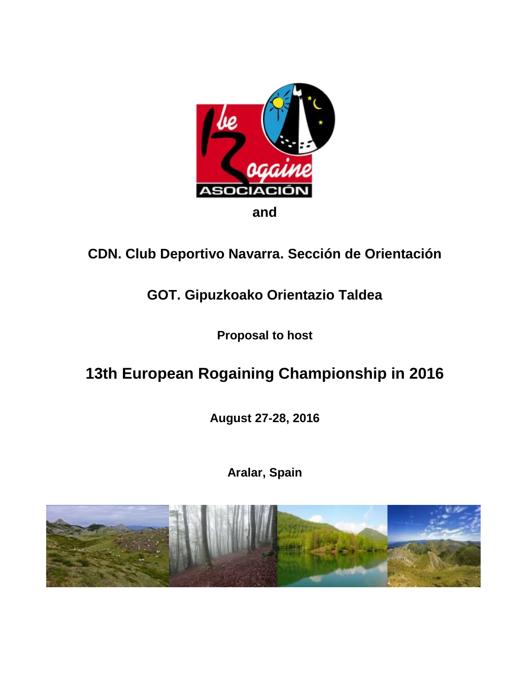

## **CDN. Club Deportivo Navarra. Sección de Orientación**

## **GOT. Gipuzkoako Orientazio Taldea**

**Proposal to host**

## **13th European Rogaining Championship in 2016**

**August 27-28, 2016**

**Aralar, Spain**

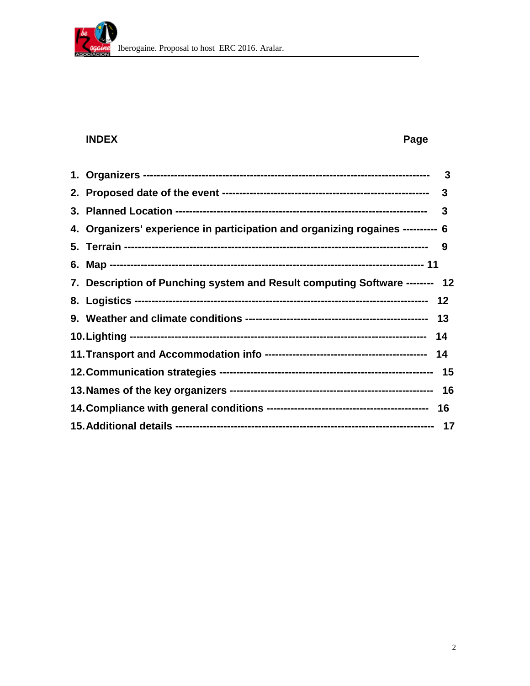

#### **INDEX Page**

| 4. Organizers' experience in participation and organizing rogaines ---------- 6 |  |
|---------------------------------------------------------------------------------|--|
|                                                                                 |  |
|                                                                                 |  |
| 7. Description of Punching system and Result computing Software -------- 12     |  |
|                                                                                 |  |
|                                                                                 |  |
|                                                                                 |  |
|                                                                                 |  |
|                                                                                 |  |
|                                                                                 |  |
|                                                                                 |  |
|                                                                                 |  |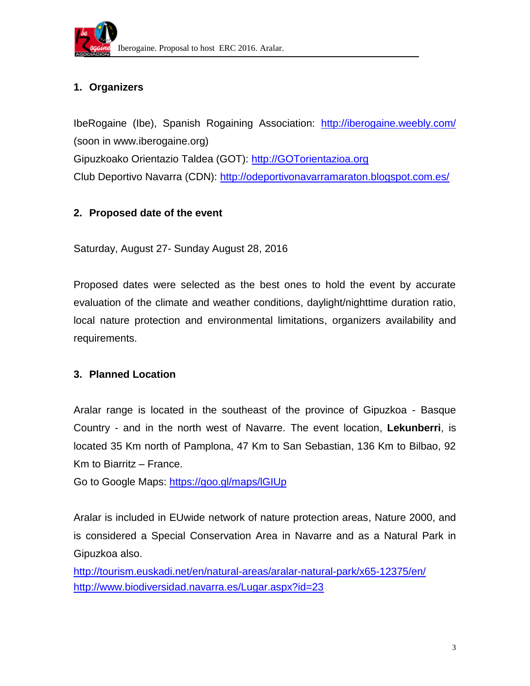#### **1. Organizers**

IbeRogaine (Ibe), Spanish Rogaining Association: <http://iberogaine.weebly.com/> (soon in www.iberogaine.org) Gipuzkoako Orientazio Taldea (GOT): [http://GOTorientazioa.org](http://gotorientazioa.org/) Club Deportivo Navarra (CDN):<http://odeportivonavarramaraton.blogspot.com.es/>

#### **2. Proposed date of the event**

Saturday, August 27- Sunday August 28, 2016

Proposed dates were selected as the best ones to hold the event by accurate evaluation of the climate and weather conditions, daylight/nighttime duration ratio, local nature protection and environmental limitations, organizers availability and requirements.

#### **3. Planned Location**

Aralar range is located in the southeast of the province of Gipuzkoa - Basque Country - and in the north west of Navarre. The event location, **Lekunberri**, is located 35 Km north of Pamplona, 47 Km to San Sebastian, 136 Km to Bilbao, 92 Km to Biarritz – France.

Go to Google Maps:<https://goo.gl/maps/lGIUp>

Aralar is included in EUwide network of nature protection areas, Nature 2000, and is considered a Special Conservation Area in Navarre and as a Natural Park in Gipuzkoa also.

<http://tourism.euskadi.net/en/natural-areas/aralar-natural-park/x65-12375/en/> <http://www.biodiversidad.navarra.es/Lugar.aspx?id=23>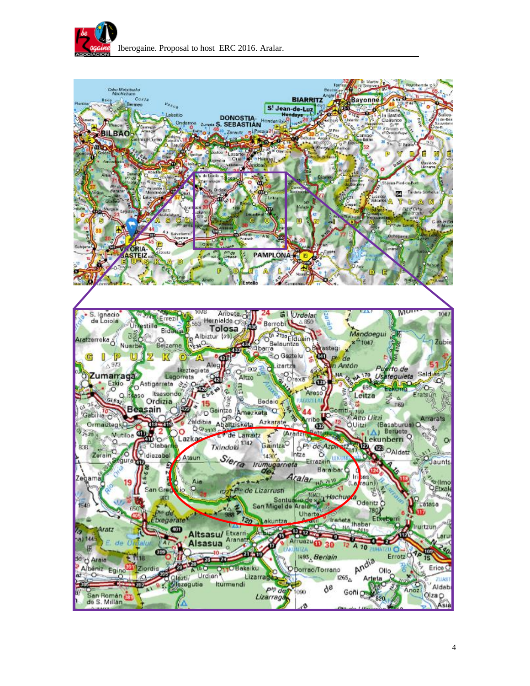

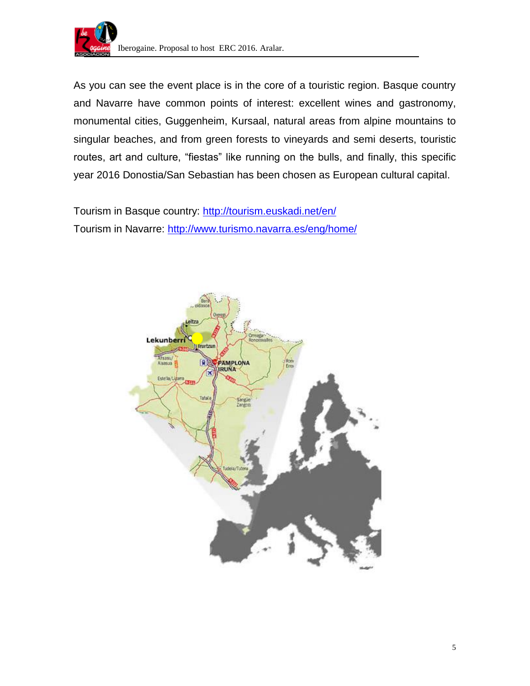

As you can see the event place is in the core of a touristic region. Basque country and Navarre have common points of interest: excellent wines and gastronomy, monumental cities, Guggenheim, Kursaal, natural areas from alpine mountains to singular beaches, and from green forests to vineyards and semi deserts, touristic routes, art and culture, "fiestas" like running on the bulls, and finally, this specific year 2016 Donostia/San Sebastian has been chosen as European cultural capital.

Tourism in Basque country:<http://tourism.euskadi.net/en/> Tourism in Navarre:<http://www.turismo.navarra.es/eng/home/>

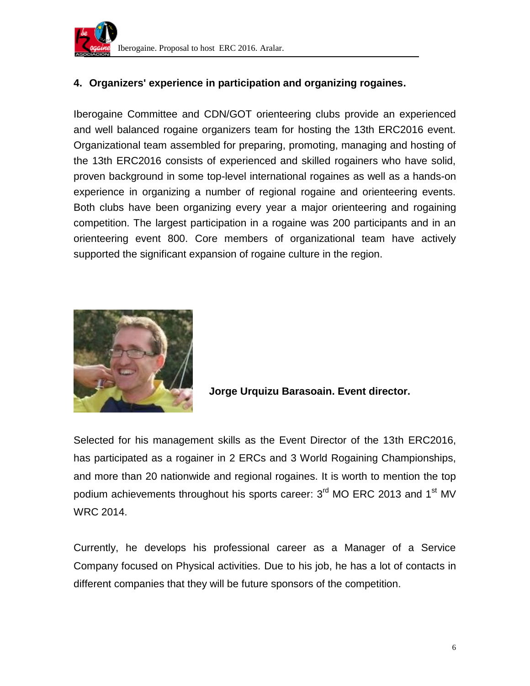

#### **4. Organizers' experience in participation and organizing rogaines.**

Iberogaine Committee and CDN/GOT orienteering clubs provide an experienced and well balanced rogaine organizers team for hosting the 13th ERC2016 event. Organizational team assembled for preparing, promoting, managing and hosting of the 13th ERC2016 consists of experienced and skilled rogainers who have solid, proven background in some top-level international rogaines as well as a hands-on experience in organizing a number of regional rogaine and orienteering events. Both clubs have been organizing every year a major orienteering and rogaining competition. The largest participation in a rogaine was 200 participants and in an orienteering event 800. Core members of organizational team have actively supported the significant expansion of rogaine culture in the region.



**Jorge Urquizu Barasoain. Event director.**

Selected for his management skills as the Event Director of the 13th ERC2016, has participated as a rogainer in 2 ERCs and 3 World Rogaining Championships, and more than 20 nationwide and regional rogaines. It is worth to mention the top podium achievements throughout his sports career: 3<sup>rd</sup> MO ERC 2013 and 1<sup>st</sup> MV WRC 2014.

Currently, he develops his professional career as a Manager of a Service Company focused on Physical activities. Due to his job, he has a lot of contacts in different companies that they will be future sponsors of the competition.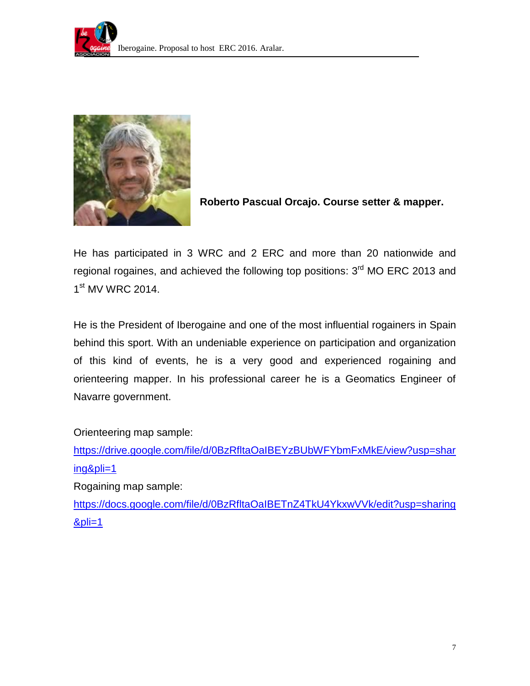



**Roberto Pascual Orcajo. Course setter & mapper.**

He has participated in 3 WRC and 2 ERC and more than 20 nationwide and regional rogaines, and achieved the following top positions:  $3<sup>rd</sup>$  MO ERC 2013 and 1<sup>st</sup> MV WRC 2014.

He is the President of Iberogaine and one of the most influential rogainers in Spain behind this sport. With an undeniable experience on participation and organization of this kind of events, he is a very good and experienced rogaining and orienteering mapper. In his professional career he is a Geomatics Engineer of Navarre government.

Orienteering map sample:

[https://drive.google.com/file/d/0BzRfltaOaIBEYzBUbWFYbmFxMkE/view?usp=shar](https://drive.google.com/file/d/0BzRfltaOaIBEYzBUbWFYbmFxMkE/view?usp=sharing&pli=1) [ing&pli=1](https://drive.google.com/file/d/0BzRfltaOaIBEYzBUbWFYbmFxMkE/view?usp=sharing&pli=1)

Rogaining map sample:

[https://docs.google.com/file/d/0BzRfltaOaIBETnZ4TkU4YkxwVVk/edit?usp=sharing](https://docs.google.com/file/d/0BzRfltaOaIBETnZ4TkU4YkxwVVk/edit?usp=sharing&pli=1)  $&$ pli=1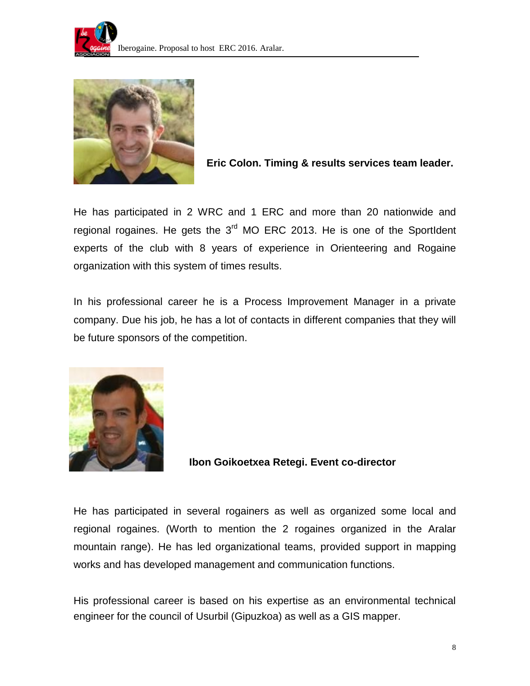



#### **Eric Colon. Timing & results services team leader.**

He has participated in 2 WRC and 1 ERC and more than 20 nationwide and regional rogaines. He gets the  $3<sup>rd</sup>$  MO ERC 2013. He is one of the SportIdent experts of the club with 8 years of experience in Orienteering and Rogaine organization with this system of times results.

In his professional career he is a Process Improvement Manager in a private company. Due his job, he has a lot of contacts in different companies that they will be future sponsors of the competition.



**Ibon Goikoetxea Retegi. Event co-director**

He has participated in several rogainers as well as organized some local and regional rogaines. (Worth to mention the 2 rogaines organized in the Aralar mountain range). He has led organizational teams, provided support in mapping works and has developed management and communication functions.

His professional career is based on his expertise as an environmental technical engineer for the council of Usurbil (Gipuzkoa) as well as a GIS mapper.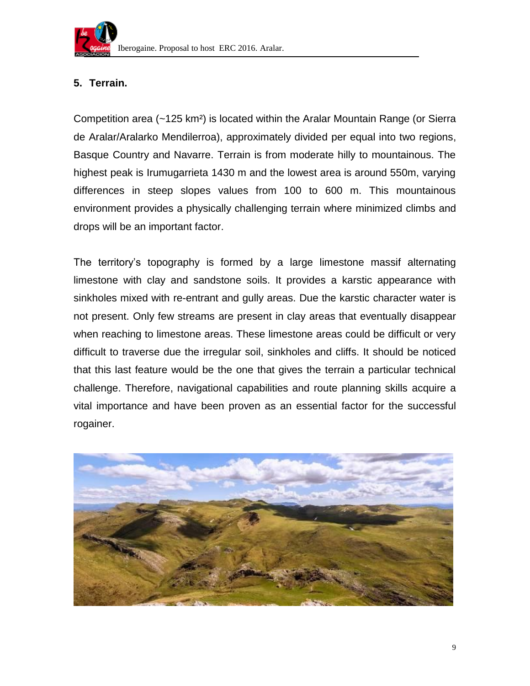### **5. Terrain.**

Competition area (~125 km²) is located within the Aralar Mountain Range (or Sierra de Aralar/Aralarko Mendilerroa), approximately divided per equal into two regions, Basque Country and Navarre. Terrain is from moderate hilly to mountainous. The highest peak is Irumugarrieta 1430 m and the lowest area is around 550m, varying differences in steep slopes values from 100 to 600 m. This mountainous environment provides a physically challenging terrain where minimized climbs and drops will be an important factor.

The territory's topography is formed by a large limestone massif alternating limestone with clay and sandstone soils. It provides a karstic appearance with sinkholes mixed with re-entrant and gully areas. Due the karstic character water is not present. Only few streams are present in clay areas that eventually disappear when reaching to limestone areas. These limestone areas could be difficult or very difficult to traverse due the irregular soil, sinkholes and cliffs. It should be noticed that this last feature would be the one that gives the terrain a particular technical challenge. Therefore, navigational capabilities and route planning skills acquire a vital importance and have been proven as an essential factor for the successful rogainer.

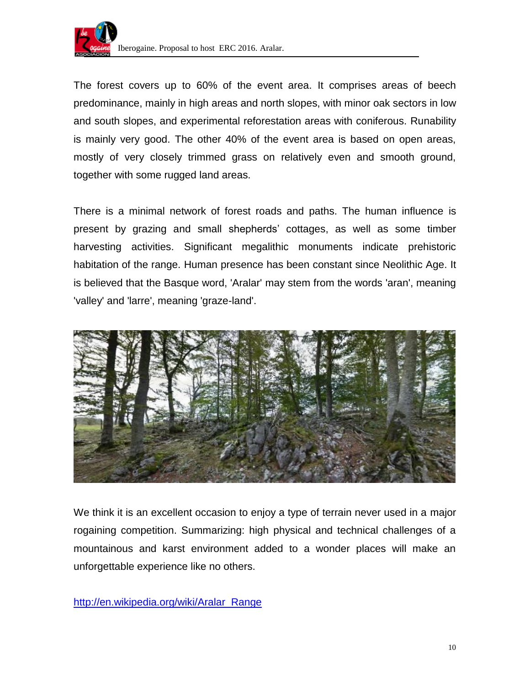

The forest covers up to 60% of the event area. It comprises areas of beech predominance, mainly in high areas and north slopes, with minor oak sectors in low and south slopes, and experimental reforestation areas with coniferous. Runability is mainly very good. The other 40% of the event area is based on open areas, mostly of very closely trimmed grass on relatively even and smooth ground, together with some rugged land areas.

There is a minimal network of forest roads and paths. The human influence is present by grazing and small shepherds' cottages, as well as some timber harvesting activities. Significant megalithic monuments indicate prehistoric habitation of the range. Human presence has been constant since Neolithic Age. It is believed that the Basque word, 'Aralar' may stem from the words 'aran', meaning 'valley' and 'larre', meaning 'graze-land'.



We think it is an excellent occasion to enjoy a type of terrain never used in a major rogaining competition. Summarizing: high physical and technical challenges of a mountainous and karst environment added to a wonder places will make an unforgettable experience like no others.

[http://en.wikipedia.org/wiki/Aralar\\_Range](http://en.wikipedia.org/wiki/Aralar_Range)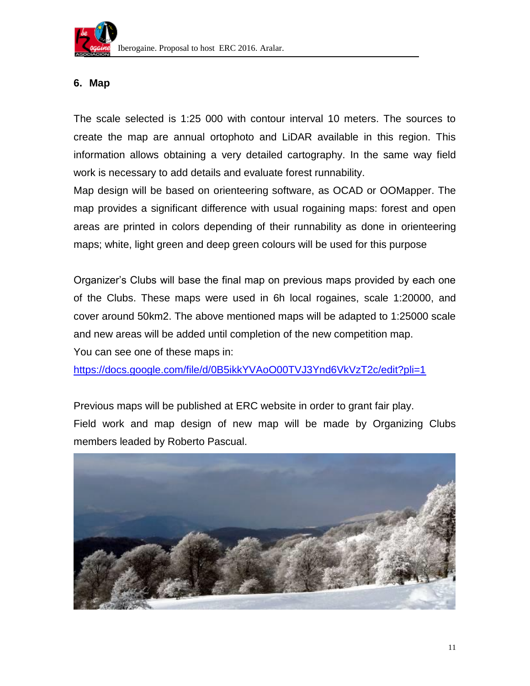#### **6. Map**

I

The scale selected is 1:25 000 with contour interval 10 meters. The sources to create the map are annual ortophoto and LiDAR available in this region. This information allows obtaining a very detailed cartography. In the same way field work is necessary to add details and evaluate forest runnability.

Map design will be based on orienteering software, as OCAD or OOMapper. The map provides a significant difference with usual rogaining maps: forest and open areas are printed in colors depending of their runnability as done in orienteering maps; white, light green and deep green colours will be used for this purpose

Organizer's Clubs will base the final map on previous maps provided by each one of the Clubs. These maps were used in 6h local rogaines, scale 1:20000, and cover around 50km2. The above mentioned maps will be adapted to 1:25000 scale and new areas will be added until completion of the new competition map. You can see one of these maps in:

<https://docs.google.com/file/d/0B5ikkYVAoO00TVJ3Ynd6VkVzT2c/edit?pli=1>

Previous maps will be published at ERC website in order to grant fair play. Field work and map design of new map will be made by Organizing Clubs members leaded by Roberto Pascual.

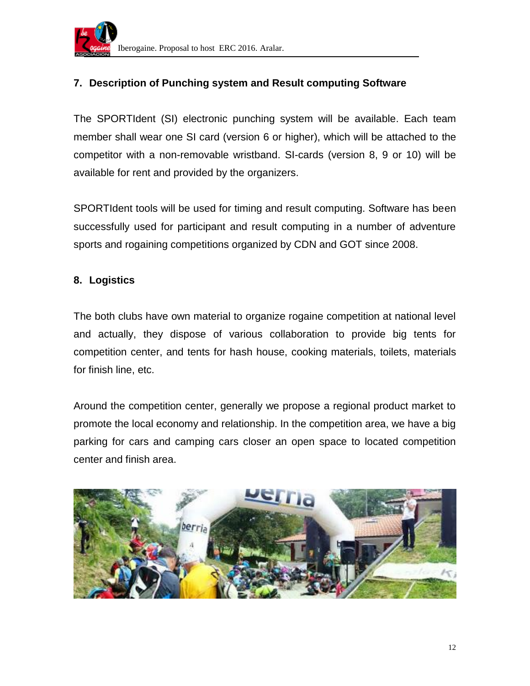#### **7. Description of Punching system and Result computing Software**

The SPORTIdent (SI) electronic punching system will be available. Each team member shall wear one SI card (version 6 or higher), which will be attached to the competitor with a non-removable wristband. SI-cards (version 8, 9 or 10) will be available for rent and provided by the organizers.

SPORTIdent tools will be used for timing and result computing. Software has been successfully used for participant and result computing in a number of adventure sports and rogaining competitions organized by CDN and GOT since 2008.

#### **8. Logistics**

The both clubs have own material to organize rogaine competition at national level and actually, they dispose of various collaboration to provide big tents for competition center, and tents for hash house, cooking materials, toilets, materials for finish line, etc.

Around the competition center, generally we propose a regional product market to promote the local economy and relationship. In the competition area, we have a big parking for cars and camping cars closer an open space to located competition center and finish area.

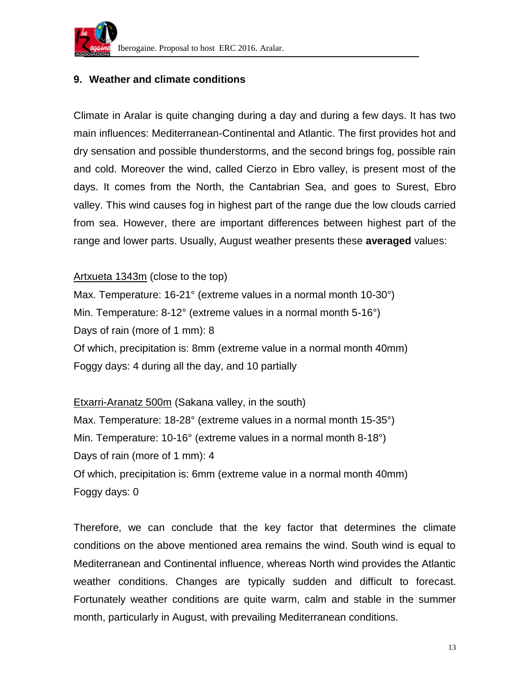

#### **9. Weather and climate conditions**

Climate in Aralar is quite changing during a day and during a few days. It has two main influences: Mediterranean-Continental and Atlantic. The first provides hot and dry sensation and possible thunderstorms, and the second brings fog, possible rain and cold. Moreover the wind, called Cierzo in Ebro valley, is present most of the days. It comes from the North, the Cantabrian Sea, and goes to Surest, Ebro valley. This wind causes fog in highest part of the range due the low clouds carried from sea. However, there are important differences between highest part of the range and lower parts. Usually, August weather presents these **averaged** values:

Artxueta 1343m (close to the top) Max. Temperature: 16-21° (extreme values in a normal month 10-30°) Min. Temperature: 8-12° (extreme values in a normal month 5-16°) Days of rain (more of 1 mm): 8 Of which, precipitation is: 8mm (extreme value in a normal month 40mm) Foggy days: 4 during all the day, and 10 partially

Etxarri-Aranatz 500m (Sakana valley, in the south) Max. Temperature: 18-28° (extreme values in a normal month 15-35°) Min. Temperature: 10-16° (extreme values in a normal month 8-18°) Days of rain (more of 1 mm): 4 Of which, precipitation is: 6mm (extreme value in a normal month 40mm) Foggy days: 0

Therefore, we can conclude that the key factor that determines the climate conditions on the above mentioned area remains the wind. South wind is equal to Mediterranean and Continental influence, whereas North wind provides the Atlantic weather conditions. Changes are typically sudden and difficult to forecast. Fortunately weather conditions are quite warm, calm and stable in the summer month, particularly in August, with prevailing Mediterranean conditions.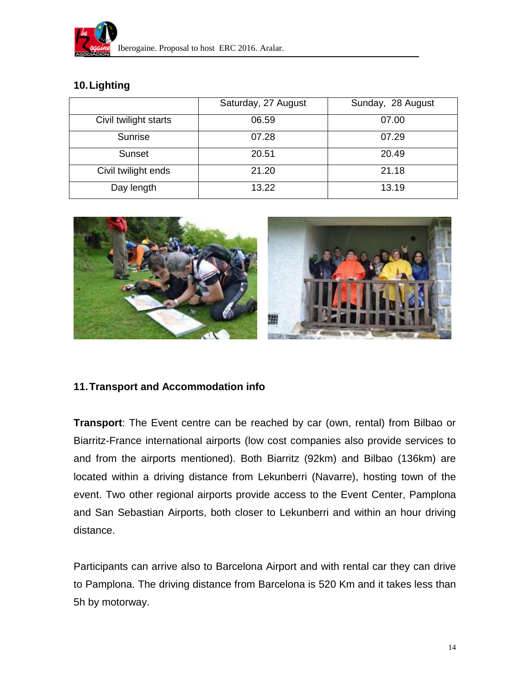

#### **10.Lighting**

|                       | Saturday, 27 August | Sunday, 28 August |
|-----------------------|---------------------|-------------------|
| Civil twilight starts | 06.59               | 07.00             |
| Sunrise               | 07.28               | 07.29             |
| <b>Sunset</b>         | 20.51               | 20.49             |
| Civil twilight ends   | 21.20               | 21.18             |
| Day length            | 13.22               | 13.19             |



#### **11.Transport and Accommodation info**

**Transport**: The Event centre can be reached by car (own, rental) from Bilbao or Biarritz-France international airports (low cost companies also provide services to and from the airports mentioned). Both Biarritz (92km) and Bilbao (136km) are located within a driving distance from Lekunberri (Navarre), hosting town of the event. Two other regional airports provide access to the Event Center, Pamplona and San Sebastian Airports, both closer to Lekunberri and within an hour driving distance.

Participants can arrive also to Barcelona Airport and with rental car they can drive to Pamplona. The driving distance from Barcelona is 520 Km and it takes less than 5h by motorway.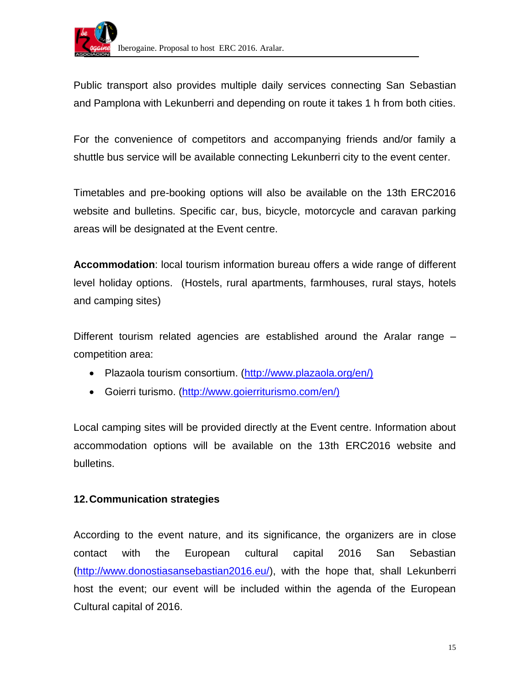

Public transport also provides multiple daily services connecting San Sebastian and Pamplona with Lekunberri and depending on route it takes 1 h from both cities.

For the convenience of competitors and accompanying friends and/or family a shuttle bus service will be available connecting Lekunberri city to the event center.

Timetables and pre-booking options will also be available on the 13th ERC2016 website and bulletins. Specific car, bus, bicycle, motorcycle and caravan parking areas will be designated at the Event centre.

**Accommodation**: local tourism information bureau offers a wide range of different level holiday options. (Hostels, rural apartments, farmhouses, rural stays, hotels and camping sites)

Different tourism related agencies are established around the Aralar range – competition area:

- Plazaola tourism consortium. [\(http://www.plazaola.org/en/\)](http://www.plazaola.org/en/))
- Goierri turismo. [\(http://www.goierriturismo.com/en/\)](http://www.goierriturismo.com/en/))

Local camping sites will be provided directly at the Event centre. Information about accommodation options will be available on the 13th ERC2016 website and bulletins.

#### **12.Communication strategies**

According to the event nature, and its significance, the organizers are in close contact with the European cultural capital 2016 San Sebastian [\(http://www.donostiasansebastian2016.eu/\)](http://www.donostiasansebastian2016.eu/), with the hope that, shall Lekunberri host the event; our event will be included within the agenda of the European Cultural capital of 2016.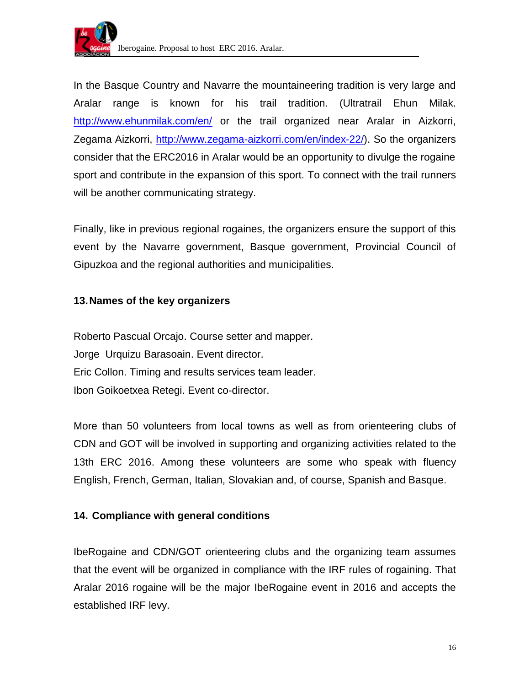

In the Basque Country and Navarre the mountaineering tradition is very large and Aralar range is known for his trail tradition. (Ultratrail Ehun Milak. <http://www.ehunmilak.com/en/> or the trail organized near Aralar in Aizkorri, Zegama Aizkorri, [http://www.zegama-aizkorri.com/en/index-22/\)](http://www.zegama-aizkorri.com/en/index-22/). So the organizers consider that the ERC2016 in Aralar would be an opportunity to divulge the rogaine sport and contribute in the expansion of this sport. To connect with the trail runners will be another communicating strategy.

Finally, like in previous regional rogaines, the organizers ensure the support of this event by the Navarre government, Basque government, Provincial Council of Gipuzkoa and the regional authorities and municipalities.

#### **13.Names of the key organizers**

Roberto Pascual Orcajo. Course setter and mapper. Jorge Urquizu Barasoain. Event director. Eric Collon. Timing and results services team leader. Ibon Goikoetxea Retegi. Event co-director.

More than 50 volunteers from local towns as well as from orienteering clubs of CDN and GOT will be involved in supporting and organizing activities related to the 13th ERC 2016. Among these volunteers are some who speak with fluency English, French, German, Italian, Slovakian and, of course, Spanish and Basque.

#### **14. Compliance with general conditions**

IbeRogaine and CDN/GOT orienteering clubs and the organizing team assumes that the event will be organized in compliance with the IRF rules of rogaining. That Aralar 2016 rogaine will be the major IbeRogaine event in 2016 and accepts the established IRF levy.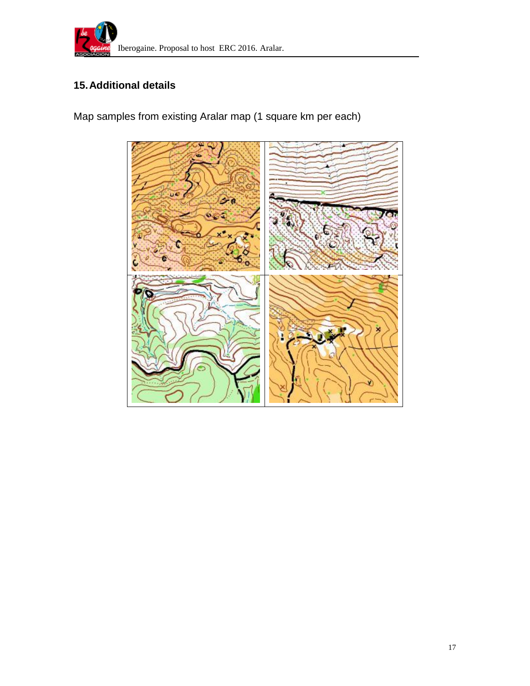

### **15.Additional details**

Map samples from existing Aralar map (1 square km per each)

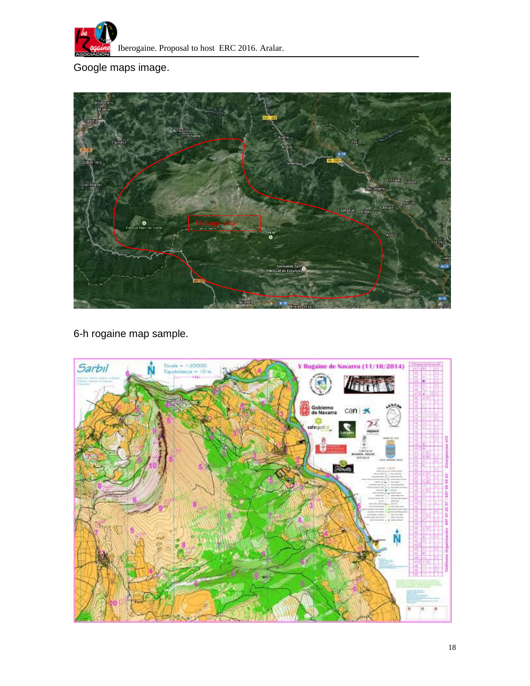

Iberogaine. Proposal to host ERC 2016. Aralar.

Google maps image.



### 6-h rogaine map sample.